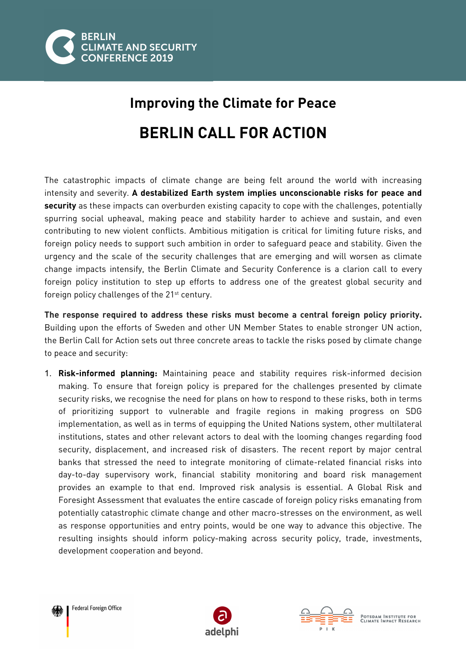

## **Improving the Climate for Peace BERLIN CALL FOR ACTION**

The catastrophic impacts of climate change are being felt around the world with increasing intensity and severity. **A destabilized Earth system implies unconscionable risks for peace and security** as these impacts can overburden existing capacity to cope with the challenges, potentially spurring social upheaval, making peace and stability harder to achieve and sustain, and even contributing to new violent conflicts. Ambitious mitigation is critical for limiting future risks, and foreign policy needs to support such ambition in order to safeguard peace and stability. Given the urgency and the scale of the security challenges that are emerging and will worsen as climate change impacts intensify, the Berlin Climate and Security Conference is a clarion call to every foreign policy institution to step up efforts to address one of the greatest global security and foreign policy challenges of the 21<sup>st</sup> century.

**The response required to address these risks must become a central foreign policy priority.** Building upon the efforts of Sweden and other UN Member States to enable stronger UN action, the Berlin Call for Action sets out three concrete areas to tackle the risks posed by climate change to peace and security:

1. **Risk-informed planning:** Maintaining peace and stability requires risk-informed decision making. To ensure that foreign policy is prepared for the challenges presented by climate security risks, we recognise the need for plans on how to respond to these risks, both in terms of prioritizing support to vulnerable and fragile regions in making progress on SDG implementation, as well as in terms of equipping the United Nations system, other multilateral institutions, states and other relevant actors to deal with the looming changes regarding food security, displacement, and increased risk of disasters. The recent report by major central banks that stressed the need to integrate monitoring of climate-related financial risks into day-to-day supervisory work, financial stability monitoring and board risk management provides an example to that end. Improved risk analysis is essential. A Global Risk and Foresight Assessment that evaluates the entire cascade of foreign policy risks emanating from potentially catastrophic climate change and other macro-stresses on the environment, as well as response opportunities and entry points, would be one way to advance this objective. The resulting insights should inform policy-making across security policy, trade, investments, development cooperation and beyond.